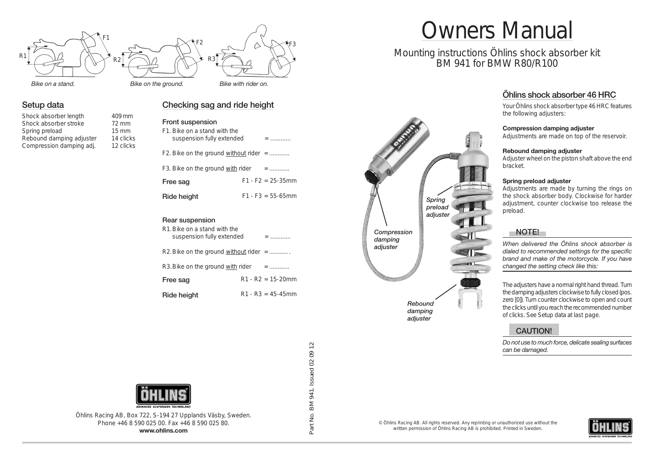

*Bike on the ground.*

#### **Setup data**

Shock absorber length 409 mm Shock absorber stroke 72 mm Spring preload 15 mm Rebound damping adjuster 14 clicks Compression damping adj. 12 clicks

# **Checking sag and ride height**

# **Front suspension**

| Free sag                                                  |  | $F1 - F2 = 25 - 35$ mm |
|-----------------------------------------------------------|--|------------------------|
| F3. Bike on the ground with rider                         |  | $=$                    |
| F2. Bike on the ground without rider $=$                  |  |                        |
| F1. Bike on a stand with the<br>suspension fully extended |  | $=$                    |

**Ride height** F1 - F3 = 55-65mm

#### **Rear suspension**

| R1. Bike on a stand with the<br>suspension fully extended | $=$                    |
|-----------------------------------------------------------|------------------------|
| R2. Bike on the ground without rider $=$                  |                        |
| R3. Bike on the ground with rider                         | $=$                    |
| Free sag                                                  | $R1 - R2 = 15 - 20$ mm |
| Ride height                                               | $R1 - R3 = 45 - 45$ mm |



# Owners Manual

# Mounting instructions Öhlins shock absorber kit BM 941 for BMW R80/R100

# **Öhlins shock absorber 46 HRC**

Your Öhlins shock absorber type 46 HRC features the following adjusters:

#### **Compression damping adjuster**

Adjustments are made on top of the reservoir.

#### **Rebound damping adjuster**

Adjuster wheel on the piston shaft above the end bracket.

#### **Spring preload adjuster**

Adjustments are made by turning the rings on the shock absorber body. Clockwise for harder adjustment, counter clockwise too release the preload.

#### **NOTE!**

*When delivered the Öhlins shock absorber is dialed to recommended settings for the specific brand and make of the motorcycle. If you have changed the setting check like this:*

The adjusters have a normal right hand thread. Turn the damping adjusters clockwise to fully closed (pos. zero [0]). Turn counter clockwise to open and count the clicks until you reach the recommended number of clicks. See Setup data at last page.

#### **CAUTION!**

*Do not use to much force, delicate sealing surfaces can be damaged.*



Öhlins Racing AB, Box 722, S-194 27 Upplands Väsby, Sweden. Phone +46 8 590 025 00. Fax +46 8 590 025 80. **www.ohlins.com**

Part No. BM 941. Issued 02 09 12 Part No. BM 941. Issued 02 09 12

© Öhlins Racing AB. All rights reserved. Any reprinting or unauthorized use without the written permission of Öhlins Racing AB is prohibited. Printed in Sweden.